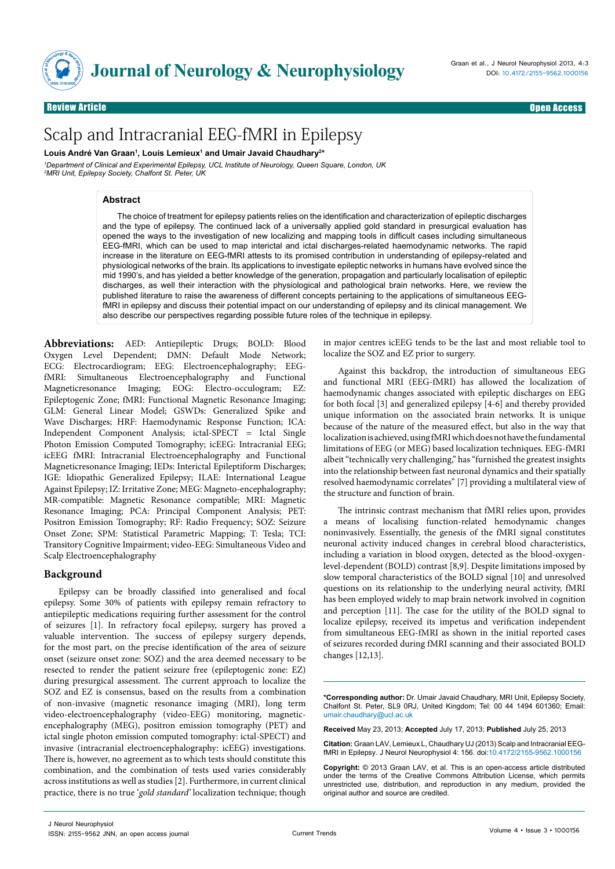

Review Article **Charles Community Community Community Community Community Community Community Community Community** 

# Review Article Open Access **Neurology & Neurophysiology** Scalp and Intracranial EEG-fMRI in Epilepsy

Louis André Van Graan<sup>1</sup>, Louis Lemieux<sup>1</sup> and Umair Javaid Chaudhary<sup>2\*</sup> *1 Department of Clinical and Experimental Epilepsy, UCL Institute of Neurology, Queen Square, London, UK 2 MRI Unit, Epilepsy Society, Chalfont St. Peter, UK*

#### **Abstract**

The choice of treatment for epilepsy patients relies on the identification and characterization of epileptic discharges and the type of epilepsy. The continued lack of a universally applied gold standard in presurgical evaluation has opened the ways to the investigation of new localizing and mapping tools in difficult cases including simultaneous EEG-fMRI, which can be used to map interictal and ictal discharges-related haemodynamic networks. The rapid increase in the literature on EEG-fMRI attests to its promised contribution in understanding of epilepsy-related and physiological networks of the brain. Its applications to investigate epileptic networks in humans have evolved since the mid 1990's, and has yielded a better knowledge of the generation, propagation and particularly localisation of epileptic discharges, as well their interaction with the physiological and pathological brain networks. Here, we review the published literature to raise the awareness of different concepts pertaining to the applications of simultaneous EEGfMRI in epilepsy and discuss their potential impact on our understanding of epilepsy and its clinical management. We also describe our perspectives regarding possible future roles of the technique in epilepsy.

**Abbreviations:** AED: Antiepileptic Drugs; BOLD: Blood Oxygen Level Dependent; DMN: Default Mode Network; ECG: Electrocardiogram; EEG: Electroencephalography; EEGfMRI: Simultaneous Electroencephalography and Functional Magneticresonance Imaging; EOG: Electro-occulogram; EZ: Epileptogenic Zone; fMRI: Functional Magnetic Resonance Imaging; GLM: General Linear Model; GSWDs: Generalized Spike and Wave Discharges; HRF: Haemodynamic Response Function; ICA: Independent Component Analysis; ictal-SPECT = Ictal Single Photon Emission Computed Tomography; icEEG: Intracranial EEG; icEEG fMRI: Intracranial Electroencephalography and Functional Magneticresonance Imaging; IEDs: Interictal Epileptiform Discharges; IGE: Idiopathic Generalized Epilepsy; ILAE: International League Against Epilepsy; IZ: Irritative Zone; MEG: Magneto-encephalography; MR-compatible: Magnetic Resonance compatible; MRI: Magnetic Resonance Imaging; PCA: Principal Component Analysis; PET: Positron Emission Tomography; RF: Radio Frequency; SOZ: Seizure Onset Zone; SPM: Statistical Parametric Mapping; T: Tesla; TCI: Transitory Cognitive Impairment; video-EEG: Simultaneous Video and Scalp Electroencephalography

#### **Background**

Epilepsy can be broadly classified into generalised and focal epilepsy. Some 30% of patients with epilepsy remain refractory to antiepileptic medications requiring further assessment for the control of seizures [1]. In refractory focal epilepsy, surgery has proved a valuable intervention. The success of epilepsy surgery depends, for the most part, on the precise identification of the area of seizure onset (seizure onset zone: SOZ) and the area deemed necessary to be resected to render the patient seizure free (epileptogenic zone: EZ) during presurgical assessment. The current approach to localize the SOZ and EZ is consensus, based on the results from a combination of non-invasive (magnetic resonance imaging (MRI), long term video-electroencephalography (video-EEG) monitoring, magneticencephalography (MEG), positron emission tomography (PET) and ictal single photon emission computed tomography: ictal-SPECT) and invasive (intracranial electroencephalography: icEEG) investigations. There is, however, no agreement as to which tests should constitute this combination, and the combination of tests used varies considerably across institutions as well as studies [2]. Furthermore, in current clinical practice, there is no true '*gold standard'* localization technique; though in major centres icEEG tends to be the last and most reliable tool to localize the SOZ and EZ prior to surgery.

Against this backdrop, the introduction of simultaneous EEG and functional MRI (EEG-fMRI) has allowed the localization of haemodynamic changes associated with epileptic discharges on EEG for both focal [3] and generalized epilepsy [4-6] and thereby provided unique information on the associated brain networks. It is unique because of the nature of the measured effect, but also in the way that localization is achieved, using fMRI which does not have the fundamental limitations of EEG (or MEG) based localization techniques. EEG-fMRI albeit "technically very challenging," has "furnished the greatest insights into the relationship between fast neuronal dynamics and their spatially resolved haemodynamic correlates" [7] providing a multilateral view of the structure and function of brain.

The intrinsic contrast mechanism that fMRI relies upon, provides a means of localising function-related hemodynamic changes noninvasively. Essentially, the genesis of the fMRI signal constitutes neuronal activity induced changes in cerebral blood characteristics, including a variation in blood oxygen, detected as the blood-oxygenlevel-dependent (BOLD) contrast [8,9]. Despite limitations imposed by slow temporal characteristics of the BOLD signal [10] and unresolved questions on its relationship to the underlying neural activity, fMRI has been employed widely to map brain network involved in cognition and perception [11]. The case for the utility of the BOLD signal to localize epilepsy, received its impetus and verification independent from simultaneous EEG-fMRI as shown in the initial reported cases of seizures recorded during fMRI scanning and their associated BOLD changes [12,13].

**\*Corresponding author:** Dr. Umair Javaid Chaudhary, MRI Unit, Epilepsy Society, Chalfont St. Peter, SL9 0RJ, United Kingdom; Tel: 00 44 1494 601360; Email: umair.chaudhary@ucl.ac.uk

**Received** May 23, 2013; **Accepted** July 17, 2013; **Published** July 25, 2013

**Citation:** Graan LAV, Lemieux L, Chaudhary UJ (2013) Scalp and Intracranial EEGfMRI in Epilepsy. J Neurol Neurophysiol 4: 156. doi:10.4172/2155-9562.1000156

**Copyright:** © 2013 Graan LAV, et al. This is an open-access article distributed under the terms of the Creative Commons Attribution License, which permits unrestricted use, distribution, and reproduction in any medium, provided the original author and source are credited.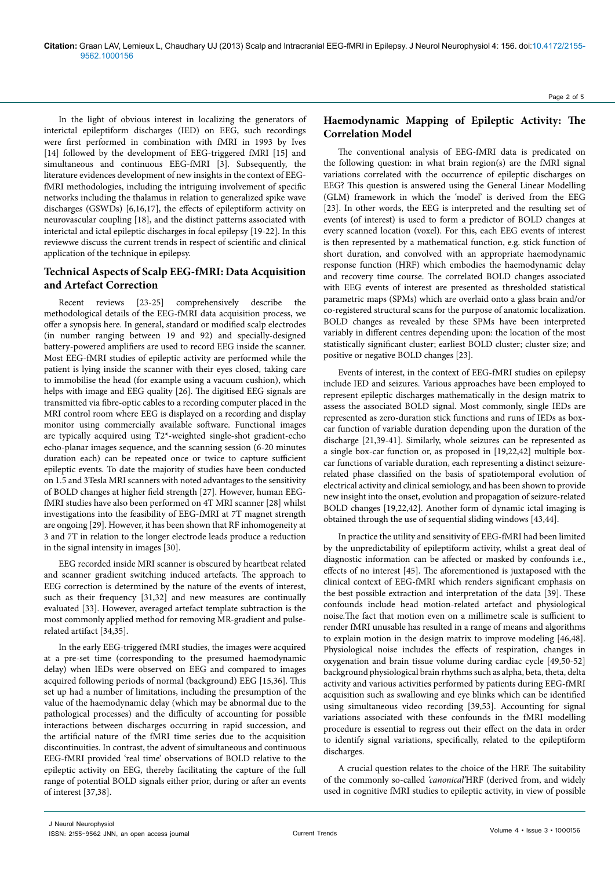In the light of obvious interest in localizing the generators of interictal epileptiform discharges (IED) on EEG, such recordings were first performed in combination with fMRI in 1993 by Ives [14] followed by the development of EEG-triggered fMRI [15] and simultaneous and continuous EEG-fMRI [3]. Subsequently, the literature evidences development of new insights in the context of EEGfMRI methodologies, including the intriguing involvement of specific networks including the thalamus in relation to generalized spike wave discharges (GSWDs) [6,16,17], the effects of epileptiform activity on neurovascular coupling [18], and the distinct patterns associated with interictal and ictal epileptic discharges in focal epilepsy [19-22]. In this reviewwe discuss the current trends in respect of scientific and clinical application of the technique in epilepsy.

## **Technical Aspects of Scalp EEG-fMRI: Data Acquisition and Artefact Correction**

Recent reviews [23-25] comprehensively describe the methodological details of the EEG-fMRI data acquisition process, we offer a synopsis here. In general, standard or modified scalp electrodes (in number ranging between 19 and 92) and specially-designed battery-powered amplifiers are used to record EEG inside the scanner. Most EEG-fMRI studies of epileptic activity are performed while the patient is lying inside the scanner with their eyes closed, taking care to immobilise the head (for example using a vacuum cushion), which helps with image and EEG quality [26]. The digitised EEG signals are transmitted via fibre-optic cables to a recording computer placed in the MRI control room where EEG is displayed on a recording and display monitor using commercially available software. Functional images are typically acquired using T2\*-weighted single-shot gradient-echo echo-planar images sequence, and the scanning session (6-20 minutes duration each) can be repeated once or twice to capture sufficient epileptic events. To date the majority of studies have been conducted on 1.5 and 3Tesla MRI scanners with noted advantages to the sensitivity of BOLD changes at higher field strength [27]. However, human EEGfMRI studies have also been performed on 4T MRI scanner [28] whilst investigations into the feasibility of EEG-fMRI at 7T magnet strength are ongoing [29]. However, it has been shown that RF inhomogeneity at 3 and 7T in relation to the longer electrode leads produce a reduction in the signal intensity in images [30].

EEG recorded inside MRI scanner is obscured by heartbeat related and scanner gradient switching induced artefacts. The approach to EEG correction is determined by the nature of the events of interest, such as their frequency [31,32] and new measures are continually evaluated [33]. However, averaged artefact template subtraction is the most commonly applied method for removing MR-gradient and pulserelated artifact [34,35].

In the early EEG-triggered fMRI studies, the images were acquired at a pre-set time (corresponding to the presumed haemodynamic delay) when IEDs were observed on EEG and compared to images acquired following periods of normal (background) EEG [15,36]. This set up had a number of limitations, including the presumption of the value of the haemodynamic delay (which may be abnormal due to the pathological processes) and the difficulty of accounting for possible interactions between discharges occurring in rapid succession, and the artificial nature of the fMRI time series due to the acquisition discontinuities. In contrast, the advent of simultaneous and continuous EEG-fMRI provided 'real time' observations of BOLD relative to the epileptic activity on EEG, thereby facilitating the capture of the full range of potential BOLD signals either prior, during or after an events of interest [37,38].

# **Haemodynamic Mapping of Epileptic Activity: The Correlation Model**

The conventional analysis of EEG-fMRI data is predicated on the following question: in what brain region(s) are the fMRI signal variations correlated with the occurrence of epileptic discharges on EEG? This question is answered using the General Linear Modelling (GLM) framework in which the 'model' is derived from the EEG [23]. In other words, the EEG is interpreted and the resulting set of events (of interest) is used to form a predictor of BOLD changes at every scanned location (voxel). For this, each EEG events of interest is then represented by a mathematical function, e.g. stick function of short duration, and convolved with an appropriate haemodynamic response function (HRF) which embodies the haemodynamic delay and recovery time course. The correlated BOLD changes associated with EEG events of interest are presented as thresholded statistical parametric maps (SPMs) which are overlaid onto a glass brain and/or co-registered structural scans for the purpose of anatomic localization. BOLD changes as revealed by these SPMs have been interpreted variably in different centres depending upon: the location of the most statistically significant cluster; earliest BOLD cluster; cluster size; and positive or negative BOLD changes [23].

Events of interest, in the context of EEG-fMRI studies on epilepsy include IED and seizures. Various approaches have been employed to represent epileptic discharges mathematically in the design matrix to assess the associated BOLD signal. Most commonly, single IEDs are represented as zero-duration stick functions and runs of IEDs as boxcar function of variable duration depending upon the duration of the discharge [21,39-41]. Similarly, whole seizures can be represented as a single box-car function or, as proposed in [19,22,42] multiple boxcar functions of variable duration, each representing a distinct seizurerelated phase classified on the basis of spatiotemporal evolution of electrical activity and clinical semiology, and has been shown to provide new insight into the onset, evolution and propagation of seizure-related BOLD changes [19,22,42]. Another form of dynamic ictal imaging is obtained through the use of sequential sliding windows [43,44].

In practice the utility and sensitivity of EEG-fMRI had been limited by the unpredictability of epileptiform activity, whilst a great deal of diagnostic information can be affected or masked by confounds i.e., effects of no interest [45]. The aforementioned is juxtaposed with the clinical context of EEG-fMRI which renders significant emphasis on the best possible extraction and interpretation of the data [39]. These confounds include head motion-related artefact and physiological noise.The fact that motion even on a millimetre scale is sufficient to render fMRI unusable has resulted in a range of means and algorithms to explain motion in the design matrix to improve modeling [46,48]. Physiological noise includes the effects of respiration, changes in oxygenation and brain tissue volume during cardiac cycle [49,50-52] background physiological brain rhythms such as alpha, beta, theta, delta activity and various activities performed by patients during EEG-fMRI acquisition such as swallowing and eye blinks which can be identified using simultaneous video recording [39,53]. Accounting for signal variations associated with these confounds in the fMRI modelling procedure is essential to regress out their effect on the data in order to identify signal variations, specifically, related to the epileptiform discharges.

A crucial question relates to the choice of the HRF. The suitability of the commonly so-called *'canonical'*HRF (derived from, and widely used in cognitive fMRI studies to epileptic activity, in view of possible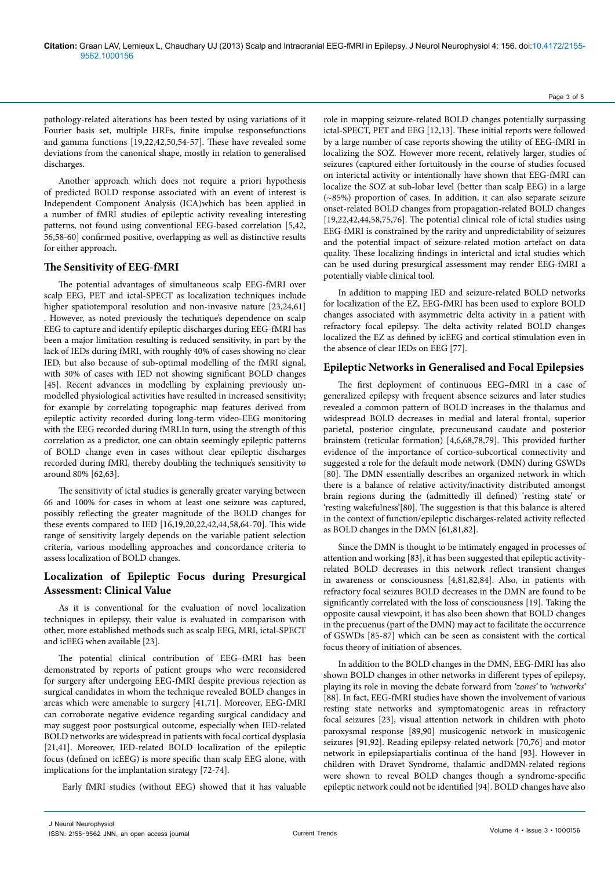pathology-related alterations has been tested by using variations of it Fourier basis set, multiple HRFs, finite impulse responsefunctions and gamma functions [19,22,42,50,54-57]. These have revealed some deviations from the canonical shape, mostly in relation to generalised discharges.

Another approach which does not require a priori hypothesis of predicted BOLD response associated with an event of interest is Independent Component Analysis (ICA)which has been applied in a number of fMRI studies of epileptic activity revealing interesting patterns, not found using conventional EEG-based correlation [5,42, 56,58-60] confirmed positive, overlapping as well as distinctive results for either approach.

#### **The Sensitivity of EEG-fMRI**

The potential advantages of simultaneous scalp EEG-fMRI over scalp EEG, PET and ictal-SPECT as localization techniques include higher spatiotemporal resolution and non-invasive nature [23,24,61] . However, as noted previously the technique's dependence on scalp EEG to capture and identify epileptic discharges during EEG-fMRI has been a major limitation resulting is reduced sensitivity, in part by the lack of IEDs during fMRI, with roughly 40% of cases showing no clear IED, but also because of sub-optimal modelling of the fMRI signal, with 30% of cases with IED not showing significant BOLD changes [45]. Recent advances in modelling by explaining previously unmodelled physiological activities have resulted in increased sensitivity; for example by correlating topographic map features derived from epileptic activity recorded during long-term video-EEG monitoring with the EEG recorded during fMRI.In turn, using the strength of this correlation as a predictor, one can obtain seemingly epileptic patterns of BOLD change even in cases without clear epileptic discharges recorded during fMRI, thereby doubling the technique's sensitivity to around 80% [62,63].

The sensitivity of ictal studies is generally greater varying between 66 and 100% for cases in whom at least one seizure was captured, possibly reflecting the greater magnitude of the BOLD changes for these events compared to IED [16,19,20,22,42,44,58,64-70]. This wide range of sensitivity largely depends on the variable patient selection criteria, various modelling approaches and concordance criteria to assess localization of BOLD changes.

# **Localization of Epileptic Focus during Presurgical Assessment: Clinical Value**

As it is conventional for the evaluation of novel localization techniques in epilepsy, their value is evaluated in comparison with other, more established methods such as scalp EEG, MRI, ictal-SPECT and icEEG when available [23].

The potential clinical contribution of EEG–fMRI has been demonstrated by reports of patient groups who were reconsidered for surgery after undergoing EEG-fMRI despite previous rejection as surgical candidates in whom the technique revealed BOLD changes in areas which were amenable to surgery [41,71]. Moreover, EEG-fMRI can corroborate negative evidence regarding surgical candidacy and may suggest poor postsurgical outcome, especially when IED-related BOLD networks are widespread in patients with focal cortical dysplasia [21,41]. Moreover, IED-related BOLD localization of the epileptic focus (defined on icEEG) is more specific than scalp EEG alone, with implications for the implantation strategy [72-74].

Early fMRI studies (without EEG) showed that it has valuable

role in mapping seizure-related BOLD changes potentially surpassing ictal-SPECT, PET and EEG [12,13]. These initial reports were followed by a large number of case reports showing the utility of EEG-fMRI in localizing the SOZ. However more recent, relatively larger, studies of seizures (captured either fortuitously in the course of studies focused on interictal activity or intentionally have shown that EEG-fMRI can localize the SOZ at sub-lobar level (better than scalp EEG) in a large (~85%) proportion of cases. In addition, it can also separate seizure onset-related BOLD changes from propagation-related BOLD changes [19,22,42,44,58,75,76]. The potential clinical role of ictal studies using EEG-fMRI is constrained by the rarity and unpredictability of seizures and the potential impact of seizure-related motion artefact on data quality. These localizing findings in interictal and ictal studies which can be used during presurgical assessment may render EEG-fMRI a potentially viable clinical tool.

In addition to mapping IED and seizure-related BOLD networks for localization of the EZ, EEG-fMRI has been used to explore BOLD changes associated with asymmetric delta activity in a patient with refractory focal epilepsy. The delta activity related BOLD changes localized the EZ as defined by icEEG and cortical stimulation even in the absence of clear IEDs on EEG [77].

## **Epileptic Networks in Generalised and Focal Epilepsies**

The first deployment of continuous EEG–fMRI in a case of generalized epilepsy with frequent absence seizures and later studies revealed a common pattern of BOLD increases in the thalamus and widespread BOLD decreases in medial and lateral frontal, superior parietal, posterior cingulate, precuneusand caudate and posterior brainstem (reticular formation) [4,6,68,78,79]. This provided further evidence of the importance of cortico-subcortical connectivity and suggested a role for the default mode network (DMN) during GSWDs [80]. The DMN essentially describes an organized network in which there is a balance of relative activity/inactivity distributed amongst brain regions during the (admittedly ill defined) 'resting state' or 'resting wakefulness'[80]. The suggestion is that this balance is altered in the context of function/epileptic discharges-related activity reflected as BOLD changes in the DMN [61,81,82].

Since the DMN is thought to be intimately engaged in processes of attention and working [83], it has been suggested that epileptic activityrelated BOLD decreases in this network reflect transient changes in awareness or consciousness [4,81,82,84]. Also, in patients with refractory focal seizures BOLD decreases in the DMN are found to be significantly correlated with the loss of consciousness [19]. Taking the opposite causal viewpoint, it has also been shown that BOLD changes in the precuenus (part of the DMN) may act to facilitate the occurrence of GSWDs [85-87] which can be seen as consistent with the cortical focus theory of initiation of absences.

In addition to the BOLD changes in the DMN, EEG-fMRI has also shown BOLD changes in other networks in different types of epilepsy, playing its role in moving the debate forward from *'zones'* to *'networks'*  [88]. In fact, EEG-fMRI studies have shown the involvement of various resting state networks and symptomatogenic areas in refractory focal seizures [23], visual attention network in children with photo paroxysmal response [89,90] musicogenic network in musicogenic seizures [91,92]. Reading epilepsy-related network [70,76] and motor network in epilepsiapartialis continua of the hand [93]. However in children with Dravet Syndrome, thalamic andDMN-related regions were shown to reveal BOLD changes though a syndrome-specific epileptic network could not be identified [94]. BOLD changes have also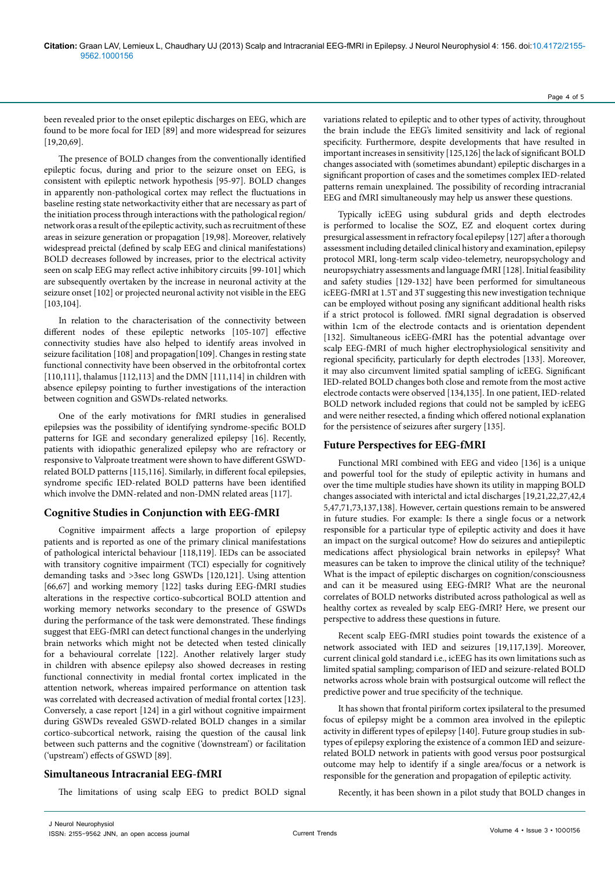been revealed prior to the onset epileptic discharges on EEG, which are found to be more focal for IED [89] and more widespread for seizures [19,20,69].

The presence of BOLD changes from the conventionally identified epileptic focus, during and prior to the seizure onset on EEG, is consistent with epileptic network hypothesis [95-97]. BOLD changes in apparently non-pathological cortex may reflect the fluctuations in baseline resting state networkactivity either that are necessary as part of the initiation process through interactions with the pathological region/ network oras a result of the epileptic activity, such as recruitment of these areas in seizure generation or propagation [19,98]. Moreover, relatively widespread preictal (defined by scalp EEG and clinical manifestations) BOLD decreases followed by increases, prior to the electrical activity seen on scalp EEG may reflect active inhibitory circuits [99-101] which are subsequently overtaken by the increase in neuronal activity at the seizure onset [102] or projected neuronal activity not visible in the EEG [103,104].

In relation to the characterisation of the connectivity between different nodes of these epileptic networks [105-107] effective connectivity studies have also helped to identify areas involved in seizure facilitation [108] and propagation[109]. Changes in resting state functional connectivity have been observed in the orbitofrontal cortex [110,111], thalamus [112,113] and the DMN [111,114] in children with absence epilepsy pointing to further investigations of the interaction between cognition and GSWDs-related networks.

One of the early motivations for fMRI studies in generalised epilepsies was the possibility of identifying syndrome-specific BOLD patterns for IGE and secondary generalized epilepsy [16]. Recently, patients with idiopathic generalized epilepsy who are refractory or responsive to Valproate treatment were shown to have different GSWDrelated BOLD patterns [115,116]. Similarly, in different focal epilepsies, syndrome specific IED-related BOLD patterns have been identified which involve the DMN-related and non-DMN related areas [117].

## **Cognitive Studies in Conjunction with EEG-fMRI**

Cognitive impairment affects a large proportion of epilepsy patients and is reported as one of the primary clinical manifestations of pathological interictal behaviour [118,119]. IEDs can be associated with transitory cognitive impairment (TCI) especially for cognitively demanding tasks and >3sec long GSWDs [120,121]. Using attention [66,67] and working memory [122] tasks during EEG-fMRI studies alterations in the respective cortico-subcortical BOLD attention and working memory networks secondary to the presence of GSWDs during the performance of the task were demonstrated. These findings suggest that EEG-fMRI can detect functional changes in the underlying brain networks which might not be detected when tested clinically for a behavioural correlate [122]. Another relatively larger study in children with absence epilepsy also showed decreases in resting functional connectivity in medial frontal cortex implicated in the attention network, whereas impaired performance on attention task was correlated with decreased activation of medial frontal cortex [123]. Conversely, a case report [124] in a girl without cognitive impairment during GSWDs revealed GSWD-related BOLD changes in a similar cortico-subcortical network, raising the question of the causal link between such patterns and the cognitive ('downstream') or facilitation ('upstream') effects of GSWD [89].

## **Simultaneous Intracranial EEG-fMRI**

The limitations of using scalp EEG to predict BOLD signal

variations related to epileptic and to other types of activity, throughout the brain include the EEG's limited sensitivity and lack of regional specificity. Furthermore, despite developments that have resulted in important increases in sensitivity [125,126] the lack of significant BOLD changes associated with (sometimes abundant) epileptic discharges in a significant proportion of cases and the sometimes complex IED-related patterns remain unexplained. The possibility of recording intracranial EEG and fMRI simultaneously may help us answer these questions.

Typically icEEG using subdural grids and depth electrodes is performed to localise the SOZ, EZ and eloquent cortex during presurgical assessment in refractory focal epilepsy [127] after a thorough assessment including detailed clinical history and examination, epilepsy protocol MRI, long-term scalp video-telemetry, neuropsychology and neuropsychiatry assessments and language fMRI [128]. Initial feasibility and safety studies [129-132] have been performed for simultaneous icEEG-fMRI at 1.5T and 3T suggesting this new investigation technique can be employed without posing any significant additional health risks if a strict protocol is followed. fMRI signal degradation is observed within 1cm of the electrode contacts and is orientation dependent [132]. Simultaneous icEEG-fMRI has the potential advantage over scalp EEG-fMRI of much higher electrophysiological sensitivity and regional specificity, particularly for depth electrodes [133]. Moreover, it may also circumvent limited spatial sampling of icEEG. Significant IED-related BOLD changes both close and remote from the most active electrode contacts were observed [134,135]. In one patient, IED-related BOLD network included regions that could not be sampled by icEEG and were neither resected, a finding which offered notional explanation for the persistence of seizures after surgery [135].

### **Future Perspectives for EEG-fMRI**

Functional MRI combined with EEG and video [136] is a unique and powerful tool for the study of epileptic activity in humans and over the time multiple studies have shown its utility in mapping BOLD changes associated with interictal and ictal discharges [19,21,22,27,42,4 5,47,71,73,137,138]. However, certain questions remain to be answered in future studies. For example: Is there a single focus or a network responsible for a particular type of epileptic activity and does it have an impact on the surgical outcome? How do seizures and antiepileptic medications affect physiological brain networks in epilepsy? What measures can be taken to improve the clinical utility of the technique? What is the impact of epileptic discharges on cognition/consciousness and can it be measured using EEG-fMRI? What are the neuronal correlates of BOLD networks distributed across pathological as well as healthy cortex as revealed by scalp EEG-fMRI? Here, we present our perspective to address these questions in future.

Recent scalp EEG-fMRI studies point towards the existence of a network associated with IED and seizures [19,117,139]. Moreover, current clinical gold standard i.e., icEEG has its own limitations such as limited spatial sampling; comparison of IED and seizure-related BOLD networks across whole brain with postsurgical outcome will reflect the predictive power and true specificity of the technique.

It has shown that frontal piriform cortex ipsilateral to the presumed focus of epilepsy might be a common area involved in the epileptic activity in different types of epilepsy [140]. Future group studies in subtypes of epilepsy exploring the existence of a common IED and seizurerelated BOLD network in patients with good versus poor postsurgical outcome may help to identify if a single area/focus or a network is responsible for the generation and propagation of epileptic activity.

Recently, it has been shown in a pilot study that BOLD changes in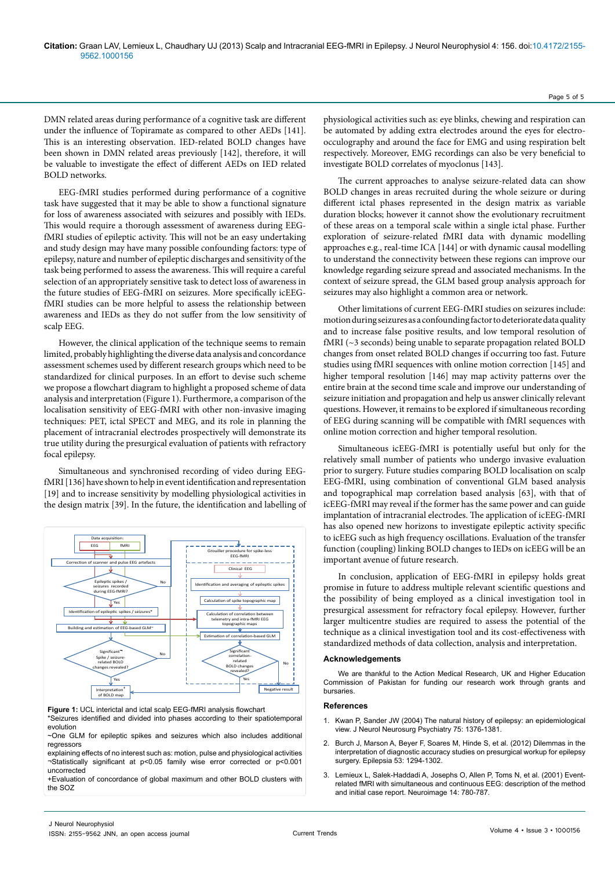DMN related areas during performance of a cognitive task are different under the influence of Topiramate as compared to other AEDs [141]. This is an interesting observation. IED-related BOLD changes have been shown in DMN related areas previously [142], therefore, it will be valuable to investigate the effect of different AEDs on IED related BOLD networks.

EEG-fMRI studies performed during performance of a cognitive task have suggested that it may be able to show a functional signature for loss of awareness associated with seizures and possibly with IEDs. This would require a thorough assessment of awareness during EEGfMRI studies of epileptic activity. This will not be an easy undertaking and study design may have many possible confounding factors: type of epilepsy, nature and number of epileptic discharges and sensitivity of the task being performed to assess the awareness. This will require a careful selection of an appropriately sensitive task to detect loss of awareness in the future studies of EEG-fMRI on seizures. More specifically icEEGfMRI studies can be more helpful to assess the relationship between awareness and IEDs as they do not suffer from the low sensitivity of scalp EEG.

However, the clinical application of the technique seems to remain limited, probably highlighting the diverse data analysis and concordance assessment schemes used by different research groups which need to be standardized for clinical purposes. In an effort to devise such scheme we propose a flowchart diagram to highlight a proposed scheme of data analysis and interpretation (Figure 1). Furthermore, a comparison of the localisation sensitivity of EEG-fMRI with other non-invasive imaging techniques: PET, ictal SPECT and MEG, and its role in planning the placement of intracranial electrodes prospectively will demonstrate its true utility during the presurgical evaluation of patients with refractory focal epilepsy.

Simultaneous and synchronised recording of video during EEGfMRI [136] have shown to help in event identification and representation [19] and to increase sensitivity by modelling physiological activities in the design matrix [39]. In the future, the identification and labelling of



**Figure 1:** UCL interictal and ictal scalp EEG-fMRI analysis flowchart \*Seizures identified and divided into phases according to their spatiotemporal evolution

~One GLM for epileptic spikes and seizures which also includes additional regressors

explaining effects of no interest such as: motion, pulse and physiological activities ¬Statistically significant at p<0.05 family wise error corrected or p<0.001 uncorrected

+Evaluation of concordance of global maximum and other BOLD clusters with the SOZ

physiological activities such as: eye blinks, chewing and respiration can be automated by adding extra electrodes around the eyes for electroocculography and around the face for EMG and using respiration belt respectively. Moreover, EMG recordings can also be very beneficial to investigate BOLD correlates of myoclonus [143].

The current approaches to analyse seizure-related data can show BOLD changes in areas recruited during the whole seizure or during different ictal phases represented in the design matrix as variable duration blocks; however it cannot show the evolutionary recruitment of these areas on a temporal scale within a single ictal phase. Further exploration of seizure-related fMRI data with dynamic modelling approaches e.g., real-time ICA [144] or with dynamic causal modelling to understand the connectivity between these regions can improve our knowledge regarding seizure spread and associated mechanisms. In the context of seizure spread, the GLM based group analysis approach for seizures may also highlight a common area or network.

Other limitations of current EEG-fMRI studies on seizures include: motion during seizures as a confounding factor to deteriorate data quality and to increase false positive results, and low temporal resolution of fMRI (~3 seconds) being unable to separate propagation related BOLD changes from onset related BOLD changes if occurring too fast. Future studies using fMRI sequences with online motion correction [145] and higher temporal resolution [146] may map activity patterns over the entire brain at the second time scale and improve our understanding of seizure initiation and propagation and help us answer clinically relevant questions. However, it remains to be explored if simultaneous recording of EEG during scanning will be compatible with fMRI sequences with online motion correction and higher temporal resolution.

Simultaneous icEEG-fMRI is potentially useful but only for the relatively small number of patients who undergo invasive evaluation prior to surgery. Future studies comparing BOLD localisation on scalp EEG-fMRI, using combination of conventional GLM based analysis and topographical map correlation based analysis [63], with that of icEEG-fMRI may reveal if the former has the same power and can guide implantation of intracranial electrodes. The application of icEEG-fMRI has also opened new horizons to investigate epileptic activity specific to icEEG such as high frequency oscillations. Evaluation of the transfer function (coupling) linking BOLD changes to IEDs on icEEG will be an important avenue of future research.

In conclusion, application of EEG-fMRI in epilepsy holds great promise in future to address multiple relevant scientific questions and the possibility of being employed as a clinical investigation tool in presurgical assessment for refractory focal epilepsy. However, further larger multicentre studies are required to assess the potential of the technique as a clinical investigation tool and its cost-effectiveness with standardized methods of data collection, analysis and interpretation.

#### **Acknowledgements**

We are thankful to the Action Medical Research, UK and Higher Education Commission of Pakistan for funding our research work through grants and bursaries.

#### **References**

- Kwan P, Sander JW (2004) The natural history of epilepsy: an epidemiological [view. J Neurol Neurosurg Psychiatry 75: 1376-1381.](http://www.ncbi.nlm.nih.gov/pubmed/15377680)
- 2. [Burch J, Marson A, Beyer F, Soares M, Hinde S, et al. \(2012\) Dilemmas in the](http://www.ncbi.nlm.nih.gov/pubmed/22690650)  [interpretation of diagnostic accuracy studies on presurgical workup for epilepsy](http://www.ncbi.nlm.nih.gov/pubmed/22690650)  [surgery. Epilepsia 53: 1294-1302.](http://www.ncbi.nlm.nih.gov/pubmed/22690650)
- 3. [Lemieux L, Salek-Haddadi A, Josephs O, Allen P, Toms N, et al. \(2001\) Event](http://www.ncbi.nlm.nih.gov/pubmed/11506550)[related fMRI with simultaneous and continuous EEG: description of the method](http://www.ncbi.nlm.nih.gov/pubmed/11506550)  [and initial case report. Neuroimage 14: 780-787.](http://www.ncbi.nlm.nih.gov/pubmed/11506550)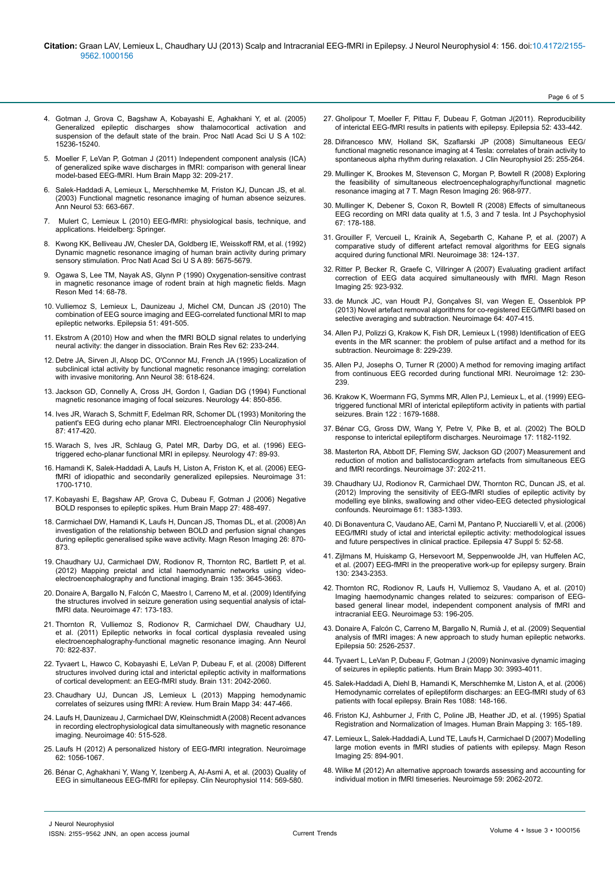- 4. [Gotman J, Grova C, Bagshaw A, Kobayashi E, Aghakhani Y, et al. \(2005\)](http://www.ncbi.nlm.nih.gov/pubmed/16217042) [Generalized epileptic discharges show thalamocortical activation and](http://www.ncbi.nlm.nih.gov/pubmed/16217042) [suspension of the default state of the brain. Proc Natl Acad Sci U S A 102:](http://www.ncbi.nlm.nih.gov/pubmed/16217042) [15236-15240.](http://www.ncbi.nlm.nih.gov/pubmed/16217042)
- 5. [Moeller F, LeVan P, Gotman J \(2011\) Independent component analysis \(ICA\)](http://www.ncbi.nlm.nih.gov/pubmed/20336659) [of generalized spike wave discharges in fMRI: comparison with general linear](http://www.ncbi.nlm.nih.gov/pubmed/20336659) [model-based EEG-fMRI. Hum Brain Mapp 32: 209-217.](http://www.ncbi.nlm.nih.gov/pubmed/20336659)
- 6. [Salek-Haddadi A, Lemieux L, Merschhemke M, Friston KJ, Duncan JS, et al.](http://www.ncbi.nlm.nih.gov/pubmed/12731002) [\(2003\) Functional magnetic resonance imaging of human absence seizures.](http://www.ncbi.nlm.nih.gov/pubmed/12731002) [Ann Neurol 53: 663-667.](http://www.ncbi.nlm.nih.gov/pubmed/12731002)
- 7. Mulert C, Lemieux L (2010) EEG-fMRI: physiological basis, technique, and applications. Heidelberg: Springer.
- 8. [Kwong KK, Belliveau JW, Chesler DA, Goldberg IE, Weisskoff RM, et al. \(1992\)](http://www.ncbi.nlm.nih.gov/pubmed/1608978) [Dynamic magnetic resonance imaging of human brain activity during primary](http://www.ncbi.nlm.nih.gov/pubmed/1608978) [sensory stimulation. Proc Natl Acad Sci U S A 89: 5675-5679.](http://www.ncbi.nlm.nih.gov/pubmed/1608978)
- 9. [Ogawa S, Lee TM, Nayak AS, Glynn P \(1990\) Oxygenation-sensitive contrast](http://www.ncbi.nlm.nih.gov/pubmed/2161986) [in magnetic resonance image of rodent brain at high magnetic fields. Magn](http://www.ncbi.nlm.nih.gov/pubmed/2161986) [Reson Med 14: 68-78.](http://www.ncbi.nlm.nih.gov/pubmed/2161986)
- 10. [Vulliemoz S, Lemieux L, Daunizeau J, Michel CM, Duncan JS \(2010\) The](http://www.ncbi.nlm.nih.gov/pubmed/19817805) [combination of EEG source imaging and EEG-correlated functional MRI to map](http://www.ncbi.nlm.nih.gov/pubmed/19817805) [epileptic networks. Epilepsia 51: 491-505.](http://www.ncbi.nlm.nih.gov/pubmed/19817805)
- 11. [Ekstrom A \(2010\) How and when the fMRI BOLD signal relates to underlying](http://www.ncbi.nlm.nih.gov/pubmed/20026191) [neural activity: the danger in dissociation. Brain Res Rev 62: 233-244.](http://www.ncbi.nlm.nih.gov/pubmed/20026191)
- 12. [Detre JA, Sirven JI, Alsop DC, O'Connor MJ, French JA \(1995\) Localization of](http://www.ncbi.nlm.nih.gov/pubmed/7574458) [subclinical ictal activity by functional magnetic resonance imaging: correlation](http://www.ncbi.nlm.nih.gov/pubmed/7574458) [with invasive monitoring. Ann Neurol 38: 618-624.](http://www.ncbi.nlm.nih.gov/pubmed/7574458)
- 13. [Jackson GD, Connelly A, Cross JH, Gordon I, Gadian DG \(1994\) Functional](http://www.ncbi.nlm.nih.gov/pubmed/8190287) [magnetic resonance imaging of focal seizures. Neurology 44: 850-856.](http://www.ncbi.nlm.nih.gov/pubmed/8190287)
- 14. [Ives JR, Warach S, Schmitt F, Edelman RR, Schomer DL \(1993\) Monitoring the](http://www.ncbi.nlm.nih.gov/pubmed/7508375) [patient's EEG during echo planar MRI. Electroencephalogr Clin Neurophysiol](http://www.ncbi.nlm.nih.gov/pubmed/7508375) [87: 417-420.](http://www.ncbi.nlm.nih.gov/pubmed/7508375)
- 15. [Warach S, Ives JR, Schlaug G, Patel MR, Darby DG, et al. \(1996\) EEG](http://www.ncbi.nlm.nih.gov/pubmed/8710131)[triggered echo-planar functional MRI in epilepsy. Neurology 47: 89-93.](http://www.ncbi.nlm.nih.gov/pubmed/8710131)
- 16. [Hamandi K, Salek-Haddadi A, Laufs H, Liston A, Friston K, et al. \(2006\) EEG](http://www.ncbi.nlm.nih.gov/pubmed/16624589)[fMRI of idiopathic and secondarily generalized epilepsies. Neuroimage 31:](http://www.ncbi.nlm.nih.gov/pubmed/16624589) [1700-1710.](http://www.ncbi.nlm.nih.gov/pubmed/16624589)
- 17. [Kobayashi E, Bagshaw AP, Grova C, Dubeau F, Gotman J \(2006\) Negative](http://www.ncbi.nlm.nih.gov/pubmed/16180210) [BOLD responses to epileptic spikes. Hum Brain Mapp 27: 488-497.](http://www.ncbi.nlm.nih.gov/pubmed/16180210)
- 18. [Carmichael DW, Hamandi K, Laufs H, Duncan JS, Thomas DL, et al. \(2008\) An](http://www.ncbi.nlm.nih.gov/pubmed/18501544) [investigation of the relationship between BOLD and perfusion signal changes](http://www.ncbi.nlm.nih.gov/pubmed/18501544) [during epileptic generalised spike wave activity. Magn Reson Imaging 26: 870-](http://www.ncbi.nlm.nih.gov/pubmed/18501544) [873.](http://www.ncbi.nlm.nih.gov/pubmed/18501544)
- 19. [Chaudhary UJ, Carmichael DW, Rodionov R, Thornton RC, Bartlett P, et al.](http://www.ncbi.nlm.nih.gov/pubmed/23250884) [\(2012\) Mapping preictal and ictal haemodynamic networks using video](http://www.ncbi.nlm.nih.gov/pubmed/23250884)[electroencephalography and functional imaging. Brain 135: 3645-3663.](http://www.ncbi.nlm.nih.gov/pubmed/23250884)
- 20. [Donaire A, Bargallo N, Falcón C, Maestro I, Carreno M, et al. \(2009\) Identifying](http://www.ncbi.nlm.nih.gov/pubmed/19345270) [the structures involved in seizure generation using sequential analysis of ictal](http://www.ncbi.nlm.nih.gov/pubmed/19345270)[fMRI data. Neuroimage 47: 173-183.](http://www.ncbi.nlm.nih.gov/pubmed/19345270)
- 21. [Thornton R, Vulliemoz S, Rodionov R, Carmichael DW, Chaudhary UJ,](http://www.ncbi.nlm.nih.gov/pubmed/22162063) [et al. \(2011\) Epileptic networks in focal cortical dysplasia revealed using](http://www.ncbi.nlm.nih.gov/pubmed/22162063) [electroencephalography-functional magnetic resonance imaging. Ann Neurol](http://www.ncbi.nlm.nih.gov/pubmed/22162063) [70: 822-837.](http://www.ncbi.nlm.nih.gov/pubmed/22162063)
- 22. [Tyvaert L, Hawco C, Kobayashi E, LeVan P, Dubeau F, et al. \(2008\) Different](http://www.ncbi.nlm.nih.gov/pubmed/18669486) [structures involved during ictal and interictal epileptic activity in malformations](http://www.ncbi.nlm.nih.gov/pubmed/18669486) [of cortical development: an EEG-fMRI study. Brain 131: 2042-2060.](http://www.ncbi.nlm.nih.gov/pubmed/18669486)
- 23. [Chaudhary UJ, Duncan JS, Lemieux L \(2013\) Mapping hemodynamic](http://www.ncbi.nlm.nih.gov/pubmed/22083945) [correlates of seizures using fMRI: A review. Hum Brain Mapp 34: 447-466.](http://www.ncbi.nlm.nih.gov/pubmed/22083945)
- 24. [Laufs H, Daunizeau J, Carmichael DW, Kleinschmidt A \(2008\) Recent advances](http://www.ncbi.nlm.nih.gov/pubmed/18201910) [in recording electrophysiological data simultaneously with magnetic resonance](http://www.ncbi.nlm.nih.gov/pubmed/18201910) [imaging. Neuroimage 40: 515-528.](http://www.ncbi.nlm.nih.gov/pubmed/18201910)
- 25. [Laufs H \(2012\) A personalized history of EEG-fMRI integration. Neuroimage](http://www.ncbi.nlm.nih.gov/pubmed/22266176) [62: 1056-1067.](http://www.ncbi.nlm.nih.gov/pubmed/22266176)
- 26. [Bénar C, Aghakhani Y, Wang Y, Izenberg A, Al-Asmi A, et al. \(2003\) Quality of](http://www.ncbi.nlm.nih.gov/pubmed/12705438) [EEG in simultaneous EEG-fMRI for epilepsy. Clin Neurophysiol 114: 569-580.](http://www.ncbi.nlm.nih.gov/pubmed/12705438)
- 27. [Gholipour T, Moeller F, Pittau F, Dubeau F, Gotman J\(2011\). Reproducibility](http://www.ncbi.nlm.nih.gov/pubmed/21054351)  [of interictal EEG-fMRI results in patients with epilepsy. Epilepsia 52: 433-442.](http://www.ncbi.nlm.nih.gov/pubmed/21054351)
- 28. [Difrancesco MW, Holland SK, Szaflarski JP \(2008\) Simultaneous EEG/](http://www.ncbi.nlm.nih.gov/pubmed/18791470) [functional magnetic resonance imaging at 4 Tesla: correlates of brain activity to](http://www.ncbi.nlm.nih.gov/pubmed/18791470)  [spontaneous alpha rhythm during relaxation. J Clin Neurophysiol 25: 255-264.](http://www.ncbi.nlm.nih.gov/pubmed/18791470)
- 29. [Mullinger K, Brookes M, Stevenson C, Morgan P, Bowtell R \(2008\) Exploring](http://www.ncbi.nlm.nih.gov/pubmed/18508217)  [the feasibility of simultaneous electroencephalography/functional magnetic](http://www.ncbi.nlm.nih.gov/pubmed/18508217)  [resonance imaging at 7 T. Magn Reson Imaging 26: 968-977.](http://www.ncbi.nlm.nih.gov/pubmed/18508217)
- 30. [Mullinger K, Debener S, Coxon R, Bowtell R \(2008\) Effects of simultaneous](http://www.ncbi.nlm.nih.gov/pubmed/17689767)  [EEG recording on MRI data quality at 1.5, 3 and 7 tesla. Int J Psychophysiol](http://www.ncbi.nlm.nih.gov/pubmed/17689767)  [67: 178-188.](http://www.ncbi.nlm.nih.gov/pubmed/17689767)
- 31. [Grouiller F, Vercueil L, Krainik A, Segebarth C, Kahane P, et al. \(2007\) A](http://www.ncbi.nlm.nih.gov/pubmed/17766149)  [comparative study of different artefact removal algorithms for EEG signals](http://www.ncbi.nlm.nih.gov/pubmed/17766149)  [acquired during functional MRI. Neuroimage 38: 124-137.](http://www.ncbi.nlm.nih.gov/pubmed/17766149)
- 32. [Ritter P, Becker R, Graefe C, Villringer A \(2007\) Evaluating gradient artifact](http://www.ncbi.nlm.nih.gov/pubmed/17462844)  [correction of EEG data acquired simultaneously with fMRI. Magn Reson](http://www.ncbi.nlm.nih.gov/pubmed/17462844)  [Imaging 25: 923-932.](http://www.ncbi.nlm.nih.gov/pubmed/17462844)
- 33. [de Munck JC, van Houdt PJ, Gonçalves SI, van Wegen E, Ossenblok PP](http://www.ncbi.nlm.nih.gov/pubmed/22995780)  [\(2013\) Novel artefact removal algorithms for co-registered EEG/fMRI based on](http://www.ncbi.nlm.nih.gov/pubmed/22995780)  [selective averaging and subtraction. Neuroimage 64: 407-415.](http://www.ncbi.nlm.nih.gov/pubmed/22995780)
- 34. [Allen PJ, Polizzi G, Krakow K, Fish DR, Lemieux L \(1998\) Identification of EEG](http://www.ncbi.nlm.nih.gov/pubmed/9758737)  [events in the MR scanner: the problem of pulse artifact and a method for its](http://www.ncbi.nlm.nih.gov/pubmed/9758737)  [subtraction. Neuroimage 8: 229-239.](http://www.ncbi.nlm.nih.gov/pubmed/9758737)
- 35. [Allen PJ, Josephs O, Turner R \(2000\) A method for removing imaging artifact](http://www.ncbi.nlm.nih.gov/pubmed/10913328)  [from continuous EEG recorded during functional MRI. Neuroimage 12: 230-](http://www.ncbi.nlm.nih.gov/pubmed/10913328) [239.](http://www.ncbi.nlm.nih.gov/pubmed/10913328)
- 36. [Krakow K, Woermann FG, Symms MR, Allen PJ, Lemieux L, et al. \(1999\) EEG](http://www.ncbi.nlm.nih.gov/pubmed/10468507)[triggered functional MRI of interictal epileptiform activity in patients with partial](http://www.ncbi.nlm.nih.gov/pubmed/10468507)  [seizures. Brain 122 : 1679-1688.](http://www.ncbi.nlm.nih.gov/pubmed/10468507)
- 37. [Bénar CG, Gross DW, Wang Y, Petre V, Pike B, et al. \(2002\) The BOLD](http://www.ncbi.nlm.nih.gov/pubmed/12414258)  [response to interictal epileptiform discharges. Neuroimage 17: 1182-1192.](http://www.ncbi.nlm.nih.gov/pubmed/12414258)
- 38. [Masterton RA, Abbott DF, Fleming SW, Jackson GD \(2007\) Measurement and](http://www.ncbi.nlm.nih.gov/pubmed/17582785)  [reduction of motion and ballistocardiogram artefacts from simultaneous EEG](http://www.ncbi.nlm.nih.gov/pubmed/17582785)  [and fMRI recordings. Neuroimage 37: 202-211.](http://www.ncbi.nlm.nih.gov/pubmed/17582785)
- 39. [Chaudhary UJ, Rodionov R, Carmichael DW, Thornton RC, Duncan JS, et al.](http://www.ncbi.nlm.nih.gov/pubmed/22450296)  [\(2012\) Improving the sensitivity of EEG-fMRI studies of epileptic activity by](http://www.ncbi.nlm.nih.gov/pubmed/22450296)  [modelling eye blinks, swallowing and other video-EEG detected physiological](http://www.ncbi.nlm.nih.gov/pubmed/22450296)  [confounds. Neuroimage 61: 1383-1393.](http://www.ncbi.nlm.nih.gov/pubmed/22450296)
- 40. [Di Bonaventura C, Vaudano AE, Carnì M, Pantano P, Nucciarelli V, et al. \(2006\)](http://www.ncbi.nlm.nih.gov/pubmed/17239107)  [EEG/fMRI study of ictal and interictal epileptic activity: methodological issues](http://www.ncbi.nlm.nih.gov/pubmed/17239107)  [and future perspectives in clinical practice. Epilepsia 47 Suppl 5: 52-58.](http://www.ncbi.nlm.nih.gov/pubmed/17239107)
- 41. [Zijlmans M, Huiskamp G, Hersevoort M, Seppenwoolde JH, van Huffelen AC,](http://www.ncbi.nlm.nih.gov/pubmed/17586868)  [et al. \(2007\) EEG-fMRI in the preoperative work-up for epilepsy surgery. Brain](http://www.ncbi.nlm.nih.gov/pubmed/17586868)  [130: 2343-2353.](http://www.ncbi.nlm.nih.gov/pubmed/17586868)
- 42. [Thornton RC, Rodionov R, Laufs H, Vulliemoz S, Vaudano A, et al. \(2010\)](http://www.ncbi.nlm.nih.gov/pubmed/20570736)  [Imaging haemodynamic changes related to seizures: comparison of EEG](http://www.ncbi.nlm.nih.gov/pubmed/20570736)[based general linear model, independent component analysis of fMRI and](http://www.ncbi.nlm.nih.gov/pubmed/20570736)  [intracranial EEG. Neuroimage 53: 196-205.](http://www.ncbi.nlm.nih.gov/pubmed/20570736)
- 43. [Donaire A, Falcón C, Carreno M, Bargallo N, Rumià J, et al. \(2009\) Sequential](http://www.ncbi.nlm.nih.gov/pubmed/19490031)  [analysis of fMRI images: A new approach to study human epileptic networks.](http://www.ncbi.nlm.nih.gov/pubmed/19490031)  [Epilepsia 50: 2526-2537.](http://www.ncbi.nlm.nih.gov/pubmed/19490031)
- 44. [Tyvaert L, LeVan P, Dubeau F, Gotman J \(2009\) Noninvasive dynamic imaging](http://www.ncbi.nlm.nih.gov/pubmed/19507156)  [of seizures in epileptic patients. Hum Brain Mapp 30: 3993-4011.](http://www.ncbi.nlm.nih.gov/pubmed/19507156)
- 45. [Salek-Haddadi A, Diehl B, Hamandi K, Merschhemke M, Liston A, et al. \(2006\)](http://www.ncbi.nlm.nih.gov/pubmed/16678803)  Hemodynamic correlates of epileptiform discharges: an EEG-fMRI study of 63 [patients with focal epilepsy. Brain Res 1088: 148-166.](http://www.ncbi.nlm.nih.gov/pubmed/16678803)
- 46. Friston KJ, Ashburner J, Frith C, Poline JB, Heather JD, et al. (1995) Spatial Registration and Normalization of Images. Human Brain Mapping 3: 165-189.
- 47. Lemieux L, Salek-Haddadi A, Lund TE, Laufs H, Carmichael D (2007) Modelling large motion events in fMRI studies of patients with epilepsy. Magn Reson Imaging 25: 894-901.
- 48. [Wilke M \(2012\) An alternative approach towards assessing and accounting for](http://www.ncbi.nlm.nih.gov/pubmed/22036679)  [individual motion in fMRI timeseries. Neuroimage 59: 2062-2072.](http://www.ncbi.nlm.nih.gov/pubmed/22036679)

J Neurol Neurophysiol

Page 6 of 5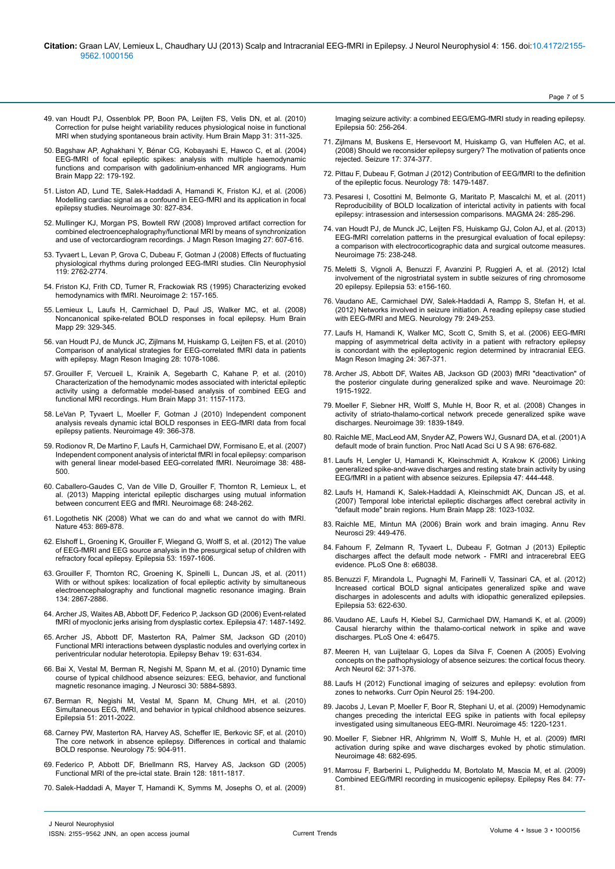- 49. [van Houdt PJ, Ossenblok PP, Boon PA, Leijten FS, Velis DN, et al. \(2010\)](http://www.ncbi.nlm.nih.gov/pubmed/19662656) [Correction for pulse height variability reduces physiological noise in functional](http://www.ncbi.nlm.nih.gov/pubmed/19662656) [MRI when studying spontaneous brain activity. Hum Brain Mapp 31: 311-325.](http://www.ncbi.nlm.nih.gov/pubmed/19662656)
- 50. [Bagshaw AP, Aghakhani Y, Bénar CG, Kobayashi E, Hawco C, et al. \(2004\)](http://www.ncbi.nlm.nih.gov/pubmed/15195285) [EEG-fMRI of focal epileptic spikes: analysis with multiple haemodynamic](http://www.ncbi.nlm.nih.gov/pubmed/15195285) [functions and comparison with gadolinium-enhanced MR angiograms. Hum](http://www.ncbi.nlm.nih.gov/pubmed/15195285) [Brain Mapp 22: 179-192.](http://www.ncbi.nlm.nih.gov/pubmed/15195285)
- 51. [Liston AD, Lund TE, Salek-Haddadi A, Hamandi K, Friston KJ, et al. \(2006\)](http://www.ncbi.nlm.nih.gov/pubmed/16343949) [Modelling cardiac signal as a confound in EEG-fMRI and its application in focal](http://www.ncbi.nlm.nih.gov/pubmed/16343949) [epilepsy studies. Neuroimage 30: 827-834.](http://www.ncbi.nlm.nih.gov/pubmed/16343949)
- 52. [Mullinger KJ, Morgan PS, Bowtell RW \(2008\) Improved artifact correction for](http://www.ncbi.nlm.nih.gov/pubmed/18307200) [combined electroencephalography/functional MRI by means of synchronization](http://www.ncbi.nlm.nih.gov/pubmed/18307200) [and use of vectorcardiogram recordings. J Magn Reson Imaging 27: 607-616.](http://www.ncbi.nlm.nih.gov/pubmed/18307200)
- 53. [Tyvaert L, Levan P, Grova C, Dubeau F, Gotman J \(2008\) Effects of fluctuating](http://www.ncbi.nlm.nih.gov/pubmed/18977169) [physiological rhythms during prolonged EEG-fMRI studies. Clin Neurophysiol](http://www.ncbi.nlm.nih.gov/pubmed/18977169) [119: 2762-2774.](http://www.ncbi.nlm.nih.gov/pubmed/18977169)
- 54. Friston KJ, Frith CD, Turner R, Frackowiak RS (1995) Characterizing evoked hemodynamics with fMRI. Neuroimage 2: 157-165.
- 55. [Lemieux L, Laufs H, Carmichael D, Paul JS, Walker MC, et al. \(2008\)](http://www.ncbi.nlm.nih.gov/pubmed/17510926) [Noncanonical spike-related BOLD responses in focal epilepsy. Hum Brain](http://www.ncbi.nlm.nih.gov/pubmed/17510926) [Mapp 29: 329-345.](http://www.ncbi.nlm.nih.gov/pubmed/17510926)
- 56. [van Houdt PJ, de Munck JC, Zijlmans M, Huiskamp G, Leijten FS, et al. \(2010\)](http://www.ncbi.nlm.nih.gov/pubmed/20471191) [Comparison of analytical strategies for EEG-correlated fMRI data in patients](http://www.ncbi.nlm.nih.gov/pubmed/20471191) [with epilepsy. Magn Reson Imaging 28: 1078-1086.](http://www.ncbi.nlm.nih.gov/pubmed/20471191)
- 57. Grouiller F, Vercueil L, Krainik A, Segebarth C, Kahane P, et al. (2010) Characterization of the hemodynamic modes associated with interictal epileptic activity using a deformable model-based analysis of combined EEG and functional MRI recordings. Hum Brain Mapp 31: 1157-1173.
- 58. [LeVan P, Tyvaert L, Moeller F, Gotman J \(2010\) Independent component](http://www.ncbi.nlm.nih.gov/pubmed/19647798) [analysis reveals dynamic ictal BOLD responses in EEG-fMRI data from focal](http://www.ncbi.nlm.nih.gov/pubmed/19647798) [epilepsy patients. Neuroimage 49: 366-378.](http://www.ncbi.nlm.nih.gov/pubmed/19647798)
- 59. [Rodionov R, De Martino F, Laufs H, Carmichael DW, Formisano E, et al. \(2007\)](http://www.ncbi.nlm.nih.gov/pubmed/17889566) [Independent component analysis of interictal fMRI in focal epilepsy: comparison](http://www.ncbi.nlm.nih.gov/pubmed/17889566) [with general linear model-based EEG-correlated fMRI. Neuroimage 38: 488-](http://www.ncbi.nlm.nih.gov/pubmed/17889566) [500.](http://www.ncbi.nlm.nih.gov/pubmed/17889566)
- 60. [Caballero-Gaudes C, Van de Ville D, Grouiller F, Thornton R, Lemieux L, et](http://www.ncbi.nlm.nih.gov/pubmed/23247187) [al. \(2013\) Mapping interictal epileptic discharges using mutual information](http://www.ncbi.nlm.nih.gov/pubmed/23247187) [between concurrent EEG and fMRI. Neuroimage 68: 248-262.](http://www.ncbi.nlm.nih.gov/pubmed/23247187)
- 61. [Logothetis NK \(2008\) What we can do and what we cannot do with fMRI.](http://www.ncbi.nlm.nih.gov/pubmed/18548064) [Nature 453: 869-878.](http://www.ncbi.nlm.nih.gov/pubmed/18548064)
- 62. [Elshoff L, Groening K, Grouiller F, Wiegand G, Wolff S, et al. \(2012\) The value](http://www.ncbi.nlm.nih.gov/pubmed/22779700) [of EEG-fMRI and EEG source analysis in the presurgical setup of children with](http://www.ncbi.nlm.nih.gov/pubmed/22779700) [refractory focal epilepsy. Epilepsia 53: 1597-1606.](http://www.ncbi.nlm.nih.gov/pubmed/22779700)
- 63. [Grouiller F, Thornton RC, Groening K, Spinelli L, Duncan JS, et al. \(2011\)](http://www.ncbi.nlm.nih.gov/pubmed/21752790) [With or without spikes: localization of focal epileptic activity by simultaneous](http://www.ncbi.nlm.nih.gov/pubmed/21752790) [electroencephalography and functional magnetic resonance imaging. Brain](http://www.ncbi.nlm.nih.gov/pubmed/21752790) [134: 2867-2886.](http://www.ncbi.nlm.nih.gov/pubmed/21752790)
- 64. [Archer JS, Waites AB, Abbott DF, Federico P, Jackson GD \(2006\) Event-related](http://www.ncbi.nlm.nih.gov/pubmed/16981864) [fMRI of myoclonic jerks arising from dysplastic cortex. Epilepsia 47: 1487-1492.](http://www.ncbi.nlm.nih.gov/pubmed/16981864)
- 65. [Archer JS, Abbott DF, Masterton RA, Palmer SM, Jackson GD \(2010\)](http://www.ncbi.nlm.nih.gov/pubmed/21030316) [Functional MRI interactions between dysplastic nodules and overlying cortex in](http://www.ncbi.nlm.nih.gov/pubmed/21030316) [periventricular nodular heterotopia. Epilepsy Behav 19: 631-634.](http://www.ncbi.nlm.nih.gov/pubmed/21030316)
- 66. [Bai X, Vestal M, Berman R, Negishi M, Spann M, et al. \(2010\) Dynamic time](http://www.ncbi.nlm.nih.gov/pubmed/20427649) [course of typical childhood absence seizures: EEG, behavior, and functional](http://www.ncbi.nlm.nih.gov/pubmed/20427649) [magnetic resonance imaging. J Neurosci 30: 5884-5893.](http://www.ncbi.nlm.nih.gov/pubmed/20427649)
- 67. [Berman R, Negishi M, Vestal M, Spann M, Chung MH, et al. \(2010\)](http://www.ncbi.nlm.nih.gov/pubmed/20608963) [Simultaneous EEG, fMRI, and behavior in typical childhood absence seizures.](http://www.ncbi.nlm.nih.gov/pubmed/20608963) [Epilepsia 51: 2011-2022.](http://www.ncbi.nlm.nih.gov/pubmed/20608963)
- 68. [Carney PW, Masterton RA, Harvey AS, Scheffer IE, Berkovic SF, et al. \(2010\)](http://www.ncbi.nlm.nih.gov/pubmed/20702791) [The core network in absence epilepsy. Differences in cortical and thalamic](http://www.ncbi.nlm.nih.gov/pubmed/20702791) [BOLD response. Neurology 75: 904-911.](http://www.ncbi.nlm.nih.gov/pubmed/20702791)
- 69. [Federico P, Abbott DF, Briellmann RS, Harvey AS, Jackson GD \(2005\)](http://www.ncbi.nlm.nih.gov/pubmed/15975948) [Functional MRI of the pre-ictal state. Brain 128: 1811-1817.](http://www.ncbi.nlm.nih.gov/pubmed/15975948)
- 70. [Salek-Haddadi A, Mayer T, Hamandi K, Symms M, Josephs O, et al. \(2009\)](http://www.ncbi.nlm.nih.gov/pubmed/18717713)

[Imaging seizure activity: a combined EEG/EMG-fMRI study in reading epilepsy.](http://www.ncbi.nlm.nih.gov/pubmed/18717713)  [Epilepsia 50: 256-264.](http://www.ncbi.nlm.nih.gov/pubmed/18717713)

Page 7 of 5

- 71. [Zijlmans M, Buskens E, Hersevoort M, Huiskamp G, van Huffelen AC, et al.](http://www.ncbi.nlm.nih.gov/pubmed/18055227)  [\(2008\) Should we reconsider epilepsy surgery? The motivation of patients once](http://www.ncbi.nlm.nih.gov/pubmed/18055227)  [rejected. Seizure 17: 374-377.](http://www.ncbi.nlm.nih.gov/pubmed/18055227)
- 72. [Pittau F, Dubeau F, Gotman J \(2012\) Contribution of EEG/fMRI to the definition](http://www.ncbi.nlm.nih.gov/pubmed/22539574)  [of the epileptic focus. Neurology 78: 1479-1487.](http://www.ncbi.nlm.nih.gov/pubmed/22539574)
- 73. [Pesaresi I, Cosottini M, Belmonte G, Maritato P, Mascalchi M, et al. \(2011\)](http://www.ncbi.nlm.nih.gov/pubmed/21710328)  [Reproducibility of BOLD localization of interictal activity in patients with focal](http://www.ncbi.nlm.nih.gov/pubmed/21710328)  [epilepsy: intrasession and intersession comparisons. MAGMA 24: 285-296.](http://www.ncbi.nlm.nih.gov/pubmed/21710328)
- 74. van Houdt PJ, de Munck JC, Leijten FS, Huiskamp GJ, Colon AJ, et al. (2013) EEG-fMRI correlation patterns in the presurgical evaluation of focal epilepsy: a comparison with electrocorticographic data and surgical outcome measures. Neuroimage 75: 238-248.
- 75. [Meletti S, Vignoli A, Benuzzi F, Avanzini P, Ruggieri A, et al. \(2012\) Ictal](http://www.ncbi.nlm.nih.gov/pubmed/22738216)  [involvement of the nigrostriatal system in subtle seizures of ring chromosome](http://www.ncbi.nlm.nih.gov/pubmed/22738216)  [20 epilepsy. Epilepsia 53: e156-160.](http://www.ncbi.nlm.nih.gov/pubmed/22738216)
- 76. [Vaudano AE, Carmichael DW, Salek-Haddadi A, Rampp S, Stefan H, et al.](http://www.ncbi.nlm.nih.gov/pubmed/22764255)  [\(2012\) Networks involved in seizure initiation. A reading epilepsy case studied](http://www.ncbi.nlm.nih.gov/pubmed/22764255)  [with EEG-fMRI and MEG. Neurology 79: 249-253.](http://www.ncbi.nlm.nih.gov/pubmed/22764255)
- 77. [Laufs H, Hamandi K, Walker MC, Scott C, Smith S, et al. \(2006\) EEG-fMRI](http://www.ncbi.nlm.nih.gov/pubmed/16677942)  [mapping of asymmetrical delta activity in a patient with refractory epilepsy](http://www.ncbi.nlm.nih.gov/pubmed/16677942)  [is concordant with the epileptogenic region determined by intracranial EEG.](http://www.ncbi.nlm.nih.gov/pubmed/16677942)  [Magn Reson Imaging 24: 367-371.](http://www.ncbi.nlm.nih.gov/pubmed/16677942)
- 78. [Archer JS, Abbott DF, Waites AB, Jackson GD \(2003\) fMRI "deactivation" of](http://www.ncbi.nlm.nih.gov/pubmed/14683697)  [the posterior cingulate during generalized spike and wave. Neuroimage 20:](http://www.ncbi.nlm.nih.gov/pubmed/14683697)  [1915-1922.](http://www.ncbi.nlm.nih.gov/pubmed/14683697)
- 79. [Moeller F, Siebner HR, Wolff S, Muhle H, Boor R, et al. \(2008\) Changes in](http://www.ncbi.nlm.nih.gov/pubmed/18082429)  [activity of striato-thalamo-cortical network precede generalized spike wave](http://www.ncbi.nlm.nih.gov/pubmed/18082429)  [discharges. Neuroimage 39: 1839-1849.](http://www.ncbi.nlm.nih.gov/pubmed/18082429)
- 80. [Raichle ME, MacLeod AM, Snyder AZ, Powers WJ, Gusnard DA, et al. \(2001\) A](http://www.ncbi.nlm.nih.gov/pubmed/11209064)  [default mode of brain function. Proc Natl Acad Sci U S A 98: 676-682.](http://www.ncbi.nlm.nih.gov/pubmed/11209064)
- 81. [Laufs H, Lengler U, Hamandi K, Kleinschmidt A, Krakow K \(2006\) Linking](http://www.ncbi.nlm.nih.gov/pubmed/16499775)  [generalized spike-and-wave discharges and resting state brain activity by using](http://www.ncbi.nlm.nih.gov/pubmed/16499775)  [EEG/fMRI in a patient with absence seizures. Epilepsia 47: 444-448.](http://www.ncbi.nlm.nih.gov/pubmed/16499775)
- 82. [Laufs H, Hamandi K, Salek-Haddadi A, Kleinschmidt AK, Duncan JS, et al.](http://www.ncbi.nlm.nih.gov/pubmed/17133385)  [\(2007\) Temporal lobe interictal epileptic discharges affect cerebral activity in](http://www.ncbi.nlm.nih.gov/pubmed/17133385)  ["default mode" brain regions. Hum Brain Mapp 28: 1023-1032.](http://www.ncbi.nlm.nih.gov/pubmed/17133385)
- 83. [Raichle ME, Mintun MA \(2006\) Brain work and brain imaging. Annu Rev](http://www.ncbi.nlm.nih.gov/pubmed/16776593)  [Neurosci 29: 449-476.](http://www.ncbi.nlm.nih.gov/pubmed/16776593)
- 84. [Fahoum F, Zelmann R, Tyvaert L, Dubeau F, Gotman J \(2013\) Epileptic](http://www.ncbi.nlm.nih.gov/pubmed/23840805)  [discharges affect the default mode network - FMRI and intracerebral EEG](http://www.ncbi.nlm.nih.gov/pubmed/23840805)  [evidence. PLoS One 8: e68038.](http://www.ncbi.nlm.nih.gov/pubmed/23840805)
- 85. [Benuzzi F, Mirandola L, Pugnaghi M, Farinelli V, Tassinari CA, et al. \(2012\)](http://www.ncbi.nlm.nih.gov/pubmed/22242887)  [Increased cortical BOLD signal anticipates generalized spike and wave](http://www.ncbi.nlm.nih.gov/pubmed/22242887)  [discharges in adolescents and adults with idiopathic generalized epilepsies.](http://www.ncbi.nlm.nih.gov/pubmed/22242887)  [Epilepsia 53: 622-630.](http://www.ncbi.nlm.nih.gov/pubmed/22242887)
- 86. [Vaudano AE, Laufs H, Kiebel SJ, Carmichael DW, Hamandi K, et al. \(2009\)](http://www.ncbi.nlm.nih.gov/pubmed/19649252)  Causal hierarchy within the thalamo-cortical network in spike and wave [discharges. PLoS One 4: e6475.](http://www.ncbi.nlm.nih.gov/pubmed/19649252)
- 87. [Meeren H, van Luijtelaar G, Lopes da Silva F, Coenen A \(2005\) Evolving](http://www.ncbi.nlm.nih.gov/pubmed/15767501)  [concepts on the pathophysiology of absence seizures: the cortical focus theory.](http://www.ncbi.nlm.nih.gov/pubmed/15767501)  [Arch Neurol 62: 371-376.](http://www.ncbi.nlm.nih.gov/pubmed/15767501)
- 88. [Laufs H \(2012\) Functional imaging of seizures and epilepsy: evolution from](http://www.ncbi.nlm.nih.gov/pubmed/22322414)  [zones to networks. Curr Opin Neurol 25: 194-200.](http://www.ncbi.nlm.nih.gov/pubmed/22322414)
- 89. [Jacobs J, Levan P, Moeller F, Boor R, Stephani U, et al. \(2009\) Hemodynamic](http://www.ncbi.nlm.nih.gov/pubmed/19349236)  [changes preceding the interictal EEG spike in patients with focal epilepsy](http://www.ncbi.nlm.nih.gov/pubmed/19349236)  [investigated using simultaneous EEG-fMRI. Neuroimage 45: 1220-1231.](http://www.ncbi.nlm.nih.gov/pubmed/19349236)
- 90. [Moeller F, Siebner HR, Ahlgrimm N, Wolff S, Muhle H, et al. \(2009\) fMRI](http://www.ncbi.nlm.nih.gov/pubmed/19619661)  [activation during spike and wave discharges evoked by photic stimulation.](http://www.ncbi.nlm.nih.gov/pubmed/19619661)  [Neuroimage 48: 682-695.](http://www.ncbi.nlm.nih.gov/pubmed/19619661)
- 91. [Marrosu F, Barberini L, Puligheddu M, Bortolato M, Mascia M, et al. \(2009\)](http://www.ncbi.nlm.nih.gov/pubmed/19155156)  [Combined EEG/fMRI recording in musicogenic epilepsy. Epilepsy Res 84: 77-](http://www.ncbi.nlm.nih.gov/pubmed/19155156) [81.](http://www.ncbi.nlm.nih.gov/pubmed/19155156)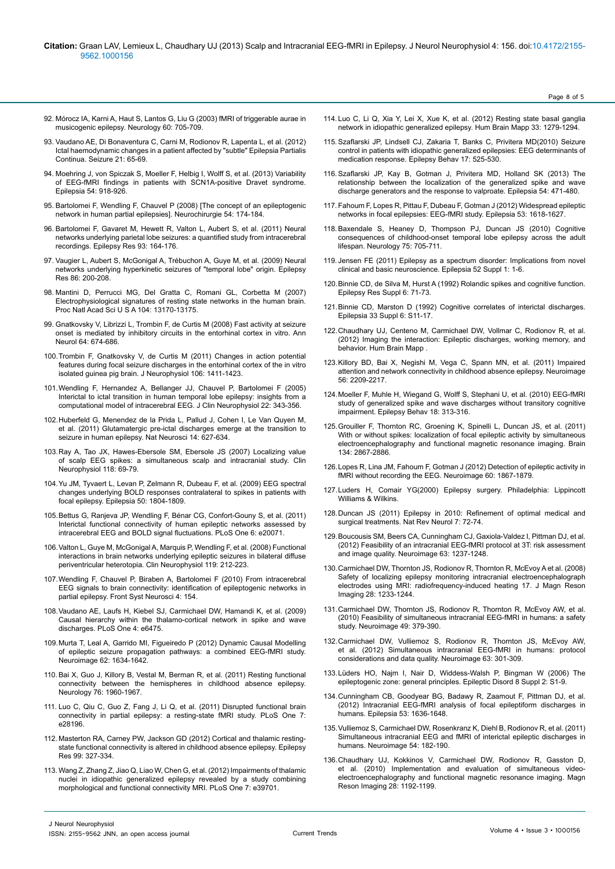- 92. [Mórocz IA, Karni A, Haut S, Lantos G, Liu G \(2003\) fMRI of triggerable aurae in](http://www.ncbi.nlm.nih.gov/pubmed/12601117) [musicogenic epilepsy. Neurology 60: 705-709.](http://www.ncbi.nlm.nih.gov/pubmed/12601117)
- 93. [Vaudano AE, Di Bonaventura C, Carni M, Rodionov R, Lapenta L, et al. \(2012\)](http://www.ncbi.nlm.nih.gov/pubmed/21958459) [Ictal haemodynamic changes in a patient affected by "subtle" Epilepsia Partialis](http://www.ncbi.nlm.nih.gov/pubmed/21958459) [Continua. Seizure 21: 65-69.](http://www.ncbi.nlm.nih.gov/pubmed/21958459)
- 94. [Moehring J, von Spiczak S, Moeller F, Helbig I, Wolff S, et al. \(2013\) Variability](http://www.ncbi.nlm.nih.gov/pubmed/23398550) [of EEG-fMRI findings in patients with SCN1A-positive Dravet syndrome.](http://www.ncbi.nlm.nih.gov/pubmed/23398550) [Epilepsia 54: 918-926.](http://www.ncbi.nlm.nih.gov/pubmed/23398550)
- 95. [Bartolomei F, Wendling F, Chauvel P \(2008\) \[The concept of an epileptogenic](http://www.ncbi.nlm.nih.gov/pubmed/18420227) [network in human partial epilepsies\]. Neurochirurgie 54: 174-184.](http://www.ncbi.nlm.nih.gov/pubmed/18420227)
- 96. [Bartolomei F, Gavaret M, Hewett R, Valton L, Aubert S, et al. \(2011\) Neural](http://www.ncbi.nlm.nih.gov/pubmed/21227653) [networks underlying parietal lobe seizures: a quantified study from intracerebral](http://www.ncbi.nlm.nih.gov/pubmed/21227653) [recordings. Epilepsy Res 93: 164-176.](http://www.ncbi.nlm.nih.gov/pubmed/21227653)
- 97. [Vaugier L, Aubert S, McGonigal A, Trébuchon A, Guye M, et al. \(2009\) Neural](http://www.ncbi.nlm.nih.gov/pubmed/19619985) [networks underlying hyperkinetic seizures of "temporal lobe" origin. Epilepsy](http://www.ncbi.nlm.nih.gov/pubmed/19619985) [Res 86: 200-208.](http://www.ncbi.nlm.nih.gov/pubmed/19619985)
- 98. [Mantini D, Perrucci MG, Del Gratta C, Romani GL, Corbetta M \(2007\)](http://www.ncbi.nlm.nih.gov/pubmed/17670949) [Electrophysiological signatures of resting state networks in the human brain.](http://www.ncbi.nlm.nih.gov/pubmed/17670949) [Proc Natl Acad Sci U S A 104: 13170-13175.](http://www.ncbi.nlm.nih.gov/pubmed/17670949)
- 99. [Gnatkovsky V, Librizzi L, Trombin F, de Curtis M \(2008\) Fast activity at seizure](http://www.ncbi.nlm.nih.gov/pubmed/19107991) [onset is mediated by inhibitory circuits in the entorhinal cortex in vitro. Ann](http://www.ncbi.nlm.nih.gov/pubmed/19107991) [Neurol 64: 674-686.](http://www.ncbi.nlm.nih.gov/pubmed/19107991)
- 100.[Trombin F, Gnatkovsky V, de Curtis M \(2011\) Changes in action potential](http://www.ncbi.nlm.nih.gov/pubmed/21676935) [features during focal seizure discharges in the entorhinal cortex of the in vitro](http://www.ncbi.nlm.nih.gov/pubmed/21676935) [isolated guinea pig brain. J Neurophysiol 106: 1411-1423.](http://www.ncbi.nlm.nih.gov/pubmed/21676935)
- 101.[Wendling F, Hernandez A, Bellanger JJ, Chauvel P, Bartolomei F \(2005\)](http://www.ncbi.nlm.nih.gov/pubmed/16357638) [Interictal to ictal transition in human temporal lobe epilepsy: insights from a](http://www.ncbi.nlm.nih.gov/pubmed/16357638) [computational model of intracerebral EEG. J Clin Neurophysiol 22: 343-356.](http://www.ncbi.nlm.nih.gov/pubmed/16357638)
- 102.[Huberfeld G, Menendez de la Prida L, Pallud J, Cohen I, Le Van Quyen M,](http://www.ncbi.nlm.nih.gov/pubmed/21460834) [et al. \(2011\) Glutamatergic pre-ictal discharges emerge at the transition to](http://www.ncbi.nlm.nih.gov/pubmed/21460834) [seizure in human epilepsy. Nat Neurosci 14: 627-634.](http://www.ncbi.nlm.nih.gov/pubmed/21460834)
- 103.[Ray A, Tao JX, Hawes-Ebersole SM, Ebersole JS \(2007\) Localizing value](http://www.ncbi.nlm.nih.gov/pubmed/17126071) [of scalp EEG spikes: a simultaneous scalp and intracranial study. Clin](http://www.ncbi.nlm.nih.gov/pubmed/17126071) [Neurophysiol 118: 69-79.](http://www.ncbi.nlm.nih.gov/pubmed/17126071)
- 104.[Yu JM, Tyvaert L, Levan P, Zelmann R, Dubeau F, et al. \(2009\) EEG spectral](http://www.ncbi.nlm.nih.gov/pubmed/19389143) [changes underlying BOLD responses contralateral to spikes in patients with](http://www.ncbi.nlm.nih.gov/pubmed/19389143) [focal epilepsy. Epilepsia 50: 1804-1809.](http://www.ncbi.nlm.nih.gov/pubmed/19389143)
- 105.[Bettus G, Ranjeva JP, Wendling F, Bénar CG, Confort-Gouny S, et al. \(2011\)](http://www.ncbi.nlm.nih.gov/pubmed/21625517) [Interictal functional connectivity of human epileptic networks assessed by](http://www.ncbi.nlm.nih.gov/pubmed/21625517) [intracerebral EEG and BOLD signal fluctuations. PLoS One 6: e20071.](http://www.ncbi.nlm.nih.gov/pubmed/21625517)
- 106.[Valton L, Guye M, McGonigal A, Marquis P, Wendling F, et al. \(2008\) Functional](http://www.ncbi.nlm.nih.gov/pubmed/18032101) [interactions in brain networks underlying epileptic seizures in bilateral diffuse](http://www.ncbi.nlm.nih.gov/pubmed/18032101) [periventricular heterotopia. Clin Neurophysiol 119: 212-223.](http://www.ncbi.nlm.nih.gov/pubmed/18032101)
- 107.[Wendling F, Chauvel P, Biraben A, Bartolomei F \(2010\) From intracerebral](http://www.ncbi.nlm.nih.gov/pubmed/21152345) [EEG signals to brain connectivity: identification of epileptogenic networks in](http://www.ncbi.nlm.nih.gov/pubmed/21152345) [partial epilepsy. Front Syst Neurosci 4: 154.](http://www.ncbi.nlm.nih.gov/pubmed/21152345)
- 108.[Vaudano AE, Laufs H, Kiebel SJ, Carmichael DW, Hamandi K, et al. \(2009\)](http://www.ncbi.nlm.nih.gov/pubmed/19649252) [Causal hierarchy within the thalamo-cortical network in spike and wave](http://www.ncbi.nlm.nih.gov/pubmed/19649252) [discharges. PLoS One 4: e6475.](http://www.ncbi.nlm.nih.gov/pubmed/19649252)
- 109.[Murta T, Leal A, Garrido MI, Figueiredo P \(2012\) Dynamic Causal Modelling](http://www.ncbi.nlm.nih.gov/pubmed/22634857) [of epileptic seizure propagation pathways: a combined EEG-fMRI study.](http://www.ncbi.nlm.nih.gov/pubmed/22634857) [Neuroimage 62: 1634-1642.](http://www.ncbi.nlm.nih.gov/pubmed/22634857)
- 110.[Bai X, Guo J, Killory B, Vestal M, Berman R, et al. \(2011\) Resting functional](http://www.ncbi.nlm.nih.gov/pubmed/21646622) [connectivity between the hemispheres in childhood absence epilepsy.](http://www.ncbi.nlm.nih.gov/pubmed/21646622) [Neurology 76: 1960-1967.](http://www.ncbi.nlm.nih.gov/pubmed/21646622)
- 111. [Luo C, Qiu C, Guo Z, Fang J, Li Q, et al. \(2011\) Disrupted functional brain](http://www.ncbi.nlm.nih.gov/pubmed/22242146) [connectivity in partial epilepsy: a resting-state fMRI study. PLoS One 7:](http://www.ncbi.nlm.nih.gov/pubmed/22242146) [e28196.](http://www.ncbi.nlm.nih.gov/pubmed/22242146)
- 112. [Masterton RA, Carney PW, Jackson GD \(2012\) Cortical and thalamic resting](http://www.ncbi.nlm.nih.gov/pubmed/22281064)[state functional connectivity is altered in childhood absence epilepsy. Epilepsy](http://www.ncbi.nlm.nih.gov/pubmed/22281064) [Res 99: 327-334.](http://www.ncbi.nlm.nih.gov/pubmed/22281064)
- 113.[Wang Z, Zhang Z, Jiao Q, Liao W, Chen G, et al. \(2012\) Impairments of thalamic](http://www.ncbi.nlm.nih.gov/pubmed/22808050) [nuclei in idiopathic generalized epilepsy revealed by a study combining](http://www.ncbi.nlm.nih.gov/pubmed/22808050) [morphological and functional connectivity MRI. PLoS One 7: e39701.](http://www.ncbi.nlm.nih.gov/pubmed/22808050)

114. [Luo C, Li Q, Xia Y, Lei X, Xue K, et al. \(2012\) Resting state basal ganglia](http://www.ncbi.nlm.nih.gov/pubmed/21520351)  [network in idiopathic generalized epilepsy. Hum Brain Mapp 33: 1279-1294.](http://www.ncbi.nlm.nih.gov/pubmed/21520351)

Page 8 of 5

- 115.[Szaflarski JP, Lindsell CJ, Zakaria T, Banks C, Privitera MD\(2010\) Seizure](http://www.ncbi.nlm.nih.gov/pubmed/20227351)  [control in patients with idiopathic generalized epilepsies: EEG determinants of](http://www.ncbi.nlm.nih.gov/pubmed/20227351)  [medication response. Epilepsy Behav 17: 525-530.](http://www.ncbi.nlm.nih.gov/pubmed/20227351)
- 116.[Szaflarski JP, Kay B, Gotman J, Privitera MD, Holland SK \(2013\) The](http://www.ncbi.nlm.nih.gov/pubmed/23294001)  [relationship between the localization of the generalized spike and wave](http://www.ncbi.nlm.nih.gov/pubmed/23294001)  [discharge generators and the response to valproate. Epilepsia 54: 471-480.](http://www.ncbi.nlm.nih.gov/pubmed/23294001)
- 117.[Fahoum F, Lopes R, Pittau F, Dubeau F, Gotman J \(2012\) Widespread epileptic](http://www.ncbi.nlm.nih.gov/pubmed/22691174)  [networks in focal epilepsies: EEG-fMRI study. Epilepsia 53: 1618-1627.](http://www.ncbi.nlm.nih.gov/pubmed/22691174)
- 118.[Baxendale S, Heaney D, Thompson PJ, Duncan JS \(2010\) Cognitive](http://www.ncbi.nlm.nih.gov/pubmed/20733146)  [consequences of childhood-onset temporal lobe epilepsy across the adult](http://www.ncbi.nlm.nih.gov/pubmed/20733146)  [lifespan. Neurology 75: 705-711.](http://www.ncbi.nlm.nih.gov/pubmed/20733146)
- 119. [Jensen FE \(2011\) Epilepsy as a spectrum disorder: Implications from novel](http://www.ncbi.nlm.nih.gov/pubmed/21214533)  [clinical and basic neuroscience. Epilepsia 52 Suppl 1: 1-6.](http://www.ncbi.nlm.nih.gov/pubmed/21214533)
- 120.[Binnie CD, de Silva M, Hurst A \(1992\) Rolandic spikes and cognitive function.](http://www.ncbi.nlm.nih.gov/pubmed/1418494)  [Epilepsy Res Suppl 6: 71-73.](http://www.ncbi.nlm.nih.gov/pubmed/1418494)
- 121.[Binnie CD, Marston D \(1992\) Cognitive correlates of interictal discharges.](http://www.ncbi.nlm.nih.gov/pubmed/1486830)  [Epilepsia 33 Suppl 6: S11-17.](http://www.ncbi.nlm.nih.gov/pubmed/1486830)
- 122.[Chaudhary UJ, Centeno M, Carmichael DW, Vollmar C, Rodionov R, et al.](http://www.ncbi.nlm.nih.gov/pubmed/22711681)  [\(2012\) Imaging the interaction: Epileptic discharges, working memory, and](http://www.ncbi.nlm.nih.gov/pubmed/22711681)  [behavior. Hum Brain Mapp .](http://www.ncbi.nlm.nih.gov/pubmed/22711681)
- 123.[Killory BD, Bai X, Negishi M, Vega C, Spann MN, et al. \(2011\) Impaired](http://www.ncbi.nlm.nih.gov/pubmed/21421063)  [attention and network connectivity in childhood absence epilepsy. Neuroimage](http://www.ncbi.nlm.nih.gov/pubmed/21421063)  [56: 2209-2217.](http://www.ncbi.nlm.nih.gov/pubmed/21421063)
- 124.[Moeller F, Muhle H, Wiegand G, Wolff S, Stephani U, et al. \(2010\) EEG-fMRI](http://www.ncbi.nlm.nih.gov/pubmed/20605747)  study of generalized spike and wave discharges without transitory cognitive [impairment. Epilepsy Behav 18: 313-316.](http://www.ncbi.nlm.nih.gov/pubmed/20605747)
- 125.[Grouiller F, Thornton RC, Groening K, Spinelli L, Duncan JS, et al. \(2011\)](http://www.ncbi.nlm.nih.gov/pubmed/21752790)  With or without spikes: localization of focal epileptic activity by simultaneous [electroencephalography and functional magnetic resonance imaging. Brain](http://www.ncbi.nlm.nih.gov/pubmed/21752790)  [134: 2867-2886.](http://www.ncbi.nlm.nih.gov/pubmed/21752790)
- 126.[Lopes R, Lina JM, Fahoum F, Gotman J \(2012\) Detection of epileptic activity in](http://www.ncbi.nlm.nih.gov/pubmed/22306797)  [fMRI without recording the EEG. Neuroimage 60: 1867-1879.](http://www.ncbi.nlm.nih.gov/pubmed/22306797)
- 127.Luders H, Comair YG(2000) Epilepsy surgery. Philadelphia: Lippincott Williams & Wilkins.
- 128.[Duncan JS \(2011\) Epilepsy in 2010: Refinement of optimal medical and](http://www.ncbi.nlm.nih.gov/pubmed/21297649)  [surgical treatments. Nat Rev Neurol 7: 72-74.](http://www.ncbi.nlm.nih.gov/pubmed/21297649)
- 129.[Boucousis SM, Beers CA, Cunningham CJ, Gaxiola-Valdez I, Pittman DJ, et al.](http://www.ncbi.nlm.nih.gov/pubmed/22902923)  [\(2012\) Feasibility of an intracranial EEG-fMRI protocol at 3T: risk assessment](http://www.ncbi.nlm.nih.gov/pubmed/22902923)  [and image quality. Neuroimage 63: 1237-1248.](http://www.ncbi.nlm.nih.gov/pubmed/22902923)
- 130.[Carmichael DW, Thornton JS, Rodionov R, Thornton R, McEvoy A et al. \(2008\)](http://www.ncbi.nlm.nih.gov/pubmed/18972332)  [Safety of localizing epilepsy monitoring intracranial electroencephalograph](http://www.ncbi.nlm.nih.gov/pubmed/18972332)  [electrodes using MRI: radiofrequency-induced heating 17. J Magn Reson](http://www.ncbi.nlm.nih.gov/pubmed/18972332)  [Imaging 28: 1233-1244.](http://www.ncbi.nlm.nih.gov/pubmed/18972332)
- 131.[Carmichael DW, Thornton JS, Rodionov R, Thornton R, McEvoy AW, et al.](http://www.ncbi.nlm.nih.gov/pubmed/19651221)  [\(2010\) Feasibility of simultaneous intracranial EEG-fMRI in humans: a safety](http://www.ncbi.nlm.nih.gov/pubmed/19651221)  [study. Neuroimage 49: 379-390.](http://www.ncbi.nlm.nih.gov/pubmed/19651221)
- 132.[Carmichael DW, Vulliemoz S, Rodionov R, Thornton JS, McEvoy AW,](http://www.ncbi.nlm.nih.gov/pubmed/22652020)  [et al. \(2012\) Simultaneous intracranial EEG-fMRI in humans: protocol](http://www.ncbi.nlm.nih.gov/pubmed/22652020)  [considerations and data quality. Neuroimage 63: 301-309.](http://www.ncbi.nlm.nih.gov/pubmed/22652020)
- 133.[Lüders HO, Najm I, Nair D, Widdess-Walsh P, Bingman W \(2006\) The](http://www.ncbi.nlm.nih.gov/pubmed/17012067)  [epileptogenic zone: general principles. Epileptic Disord 8 Suppl 2: S1-9.](http://www.ncbi.nlm.nih.gov/pubmed/17012067)
- 134.[Cunningham CB, Goodyear BG, Badawy R, Zaamout F, Pittman DJ, et al.](http://www.ncbi.nlm.nih.gov/pubmed/22881457)  [\(2012\) Intracranial EEG-fMRI analysis of focal epileptiform discharges in](http://www.ncbi.nlm.nih.gov/pubmed/22881457)  [humans. Epilepsia 53: 1636-1648.](http://www.ncbi.nlm.nih.gov/pubmed/22881457)
- 135.[Vulliemoz S, Carmichael DW, Rosenkranz K, Diehl B, Rodionov R, et al. \(2011\)](http://www.ncbi.nlm.nih.gov/pubmed/20708083)  [Simultaneous intracranial EEG and fMRI of interictal epileptic discharges in](http://www.ncbi.nlm.nih.gov/pubmed/20708083)  [humans. Neuroimage 54: 182-190.](http://www.ncbi.nlm.nih.gov/pubmed/20708083)
- 136.[Chaudhary UJ, Kokkinos V, Carmichael DW, Rodionov R, Gasston D,](http://www.ncbi.nlm.nih.gov/pubmed/20233646)  [et al. \(2010\) Implementation and evaluation of simultaneous video](http://www.ncbi.nlm.nih.gov/pubmed/20233646)[electroencephalography and functional magnetic resonance imaging. Magn](http://www.ncbi.nlm.nih.gov/pubmed/20233646)  [Reson Imaging 28: 1192-1199.](http://www.ncbi.nlm.nih.gov/pubmed/20233646)